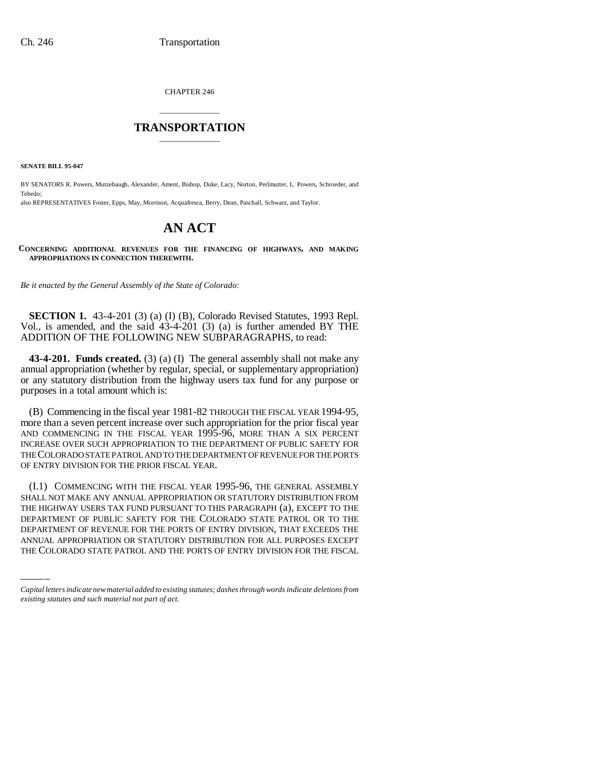CHAPTER 246

## \_\_\_\_\_\_\_\_\_\_\_\_\_\_\_ **TRANSPORTATION** \_\_\_\_\_\_\_\_\_\_\_\_\_\_\_

**SENATE BILL 95-047**

BY SENATORS R. Powers, Mutzebaugh, Alexander, Ament, Bishop, Duke, Lacy, Norton, Perlmutter, L. Powers, Schroeder, and Tebedo;

also REPRESENTATIVES Foster, Epps, May, Morrison, Acquafresca, Berry, Dean, Paschall, Schwarz, and Taylor.

# **AN ACT**

**CONCERNING ADDITIONAL REVENUES FOR THE FINANCING OF HIGHWAYS, AND MAKING APPROPRIATIONS IN CONNECTION THEREWITH.**

*Be it enacted by the General Assembly of the State of Colorado:*

**SECTION 1.** 43-4-201 (3) (a) (I) (B), Colorado Revised Statutes, 1993 Repl. Vol., is amended, and the said 43-4-201 (3) (a) is further amended BY THE ADDITION OF THE FOLLOWING NEW SUBPARAGRAPHS, to read:

**43-4-201. Funds created.** (3) (a) (I) The general assembly shall not make any annual appropriation (whether by regular, special, or supplementary appropriation) or any statutory distribution from the highway users tax fund for any purpose or purposes in a total amount which is:

(B) Commencing in the fiscal year 1981-82 THROUGH THE FISCAL YEAR 1994-95, more than a seven percent increase over such appropriation for the prior fiscal year AND COMMENCING IN THE FISCAL YEAR 1995-96, MORE THAN A SIX PERCENT INCREASE OVER SUCH APPROPRIATION TO THE DEPARTMENT OF PUBLIC SAFETY FOR THE COLORADO STATE PATROL AND TO THE DEPARTMENT OF REVENUE FOR THE PORTS OF ENTRY DIVISION FOR THE PRIOR FISCAL YEAR.

THE HIGHWAY USERS TAX FUND PURSUANT TO THIS PARAGRAPH (a), EXCEPT TO THE (I.1) COMMENCING WITH THE FISCAL YEAR 1995-96, THE GENERAL ASSEMBLY SHALL NOT MAKE ANY ANNUAL APPROPRIATION OR STATUTORY DISTRIBUTION FROM DEPARTMENT OF PUBLIC SAFETY FOR THE COLORADO STATE PATROL OR TO THE DEPARTMENT OF REVENUE FOR THE PORTS OF ENTRY DIVISION, THAT EXCEEDS THE ANNUAL APPROPRIATION OR STATUTORY DISTRIBUTION FOR ALL PURPOSES EXCEPT THE COLORADO STATE PATROL AND THE PORTS OF ENTRY DIVISION FOR THE FISCAL

*Capital letters indicate new material added to existing statutes; dashes through words indicate deletions from existing statutes and such material not part of act.*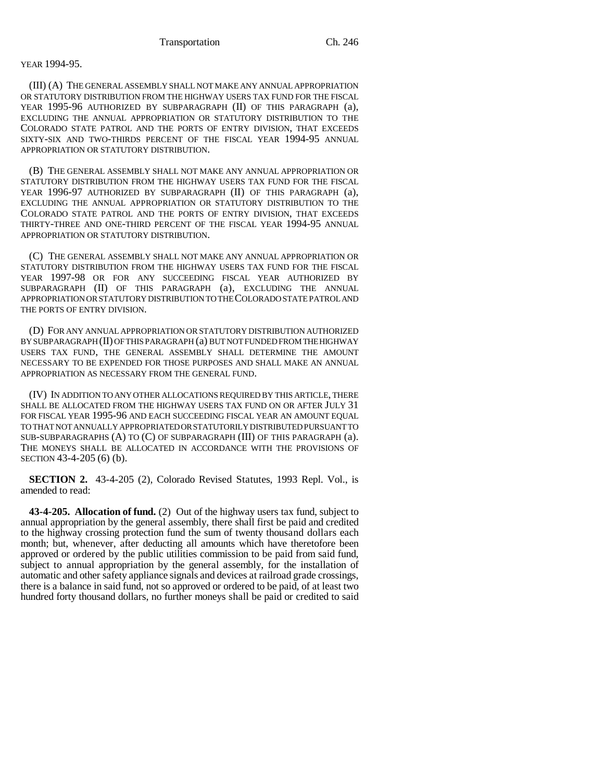### YEAR 1994-95.

(III) (A) THE GENERAL ASSEMBLY SHALL NOT MAKE ANY ANNUAL APPROPRIATION OR STATUTORY DISTRIBUTION FROM THE HIGHWAY USERS TAX FUND FOR THE FISCAL YEAR 1995-96 AUTHORIZED BY SUBPARAGRAPH (II) OF THIS PARAGRAPH (a), EXCLUDING THE ANNUAL APPROPRIATION OR STATUTORY DISTRIBUTION TO THE COLORADO STATE PATROL AND THE PORTS OF ENTRY DIVISION, THAT EXCEEDS SIXTY-SIX AND TWO-THIRDS PERCENT OF THE FISCAL YEAR 1994-95 ANNUAL APPROPRIATION OR STATUTORY DISTRIBUTION.

(B) THE GENERAL ASSEMBLY SHALL NOT MAKE ANY ANNUAL APPROPRIATION OR STATUTORY DISTRIBUTION FROM THE HIGHWAY USERS TAX FUND FOR THE FISCAL YEAR 1996-97 AUTHORIZED BY SUBPARAGRAPH (II) OF THIS PARAGRAPH (a), EXCLUDING THE ANNUAL APPROPRIATION OR STATUTORY DISTRIBUTION TO THE COLORADO STATE PATROL AND THE PORTS OF ENTRY DIVISION, THAT EXCEEDS THIRTY-THREE AND ONE-THIRD PERCENT OF THE FISCAL YEAR 1994-95 ANNUAL APPROPRIATION OR STATUTORY DISTRIBUTION.

(C) THE GENERAL ASSEMBLY SHALL NOT MAKE ANY ANNUAL APPROPRIATION OR STATUTORY DISTRIBUTION FROM THE HIGHWAY USERS TAX FUND FOR THE FISCAL YEAR 1997-98 OR FOR ANY SUCCEEDING FISCAL YEAR AUTHORIZED BY SUBPARAGRAPH (II) OF THIS PARAGRAPH (a), EXCLUDING THE ANNUAL APPROPRIATION OR STATUTORY DISTRIBUTION TO THE COLORADO STATE PATROL AND THE PORTS OF ENTRY DIVISION.

(D) FOR ANY ANNUAL APPROPRIATION OR STATUTORY DISTRIBUTION AUTHORIZED BY SUBPARAGRAPH (II) OF THIS PARAGRAPH (a) BUT NOT FUNDED FROM THE HIGHWAY USERS TAX FUND, THE GENERAL ASSEMBLY SHALL DETERMINE THE AMOUNT NECESSARY TO BE EXPENDED FOR THOSE PURPOSES AND SHALL MAKE AN ANNUAL APPROPRIATION AS NECESSARY FROM THE GENERAL FUND.

(IV) IN ADDITION TO ANY OTHER ALLOCATIONS REQUIRED BY THIS ARTICLE, THERE SHALL BE ALLOCATED FROM THE HIGHWAY USERS TAX FUND ON OR AFTER JULY 31 FOR FISCAL YEAR 1995-96 AND EACH SUCCEEDING FISCAL YEAR AN AMOUNT EQUAL TO THAT NOT ANNUALLY APPROPRIATED OR STATUTORILY DISTRIBUTED PURSUANT TO SUB-SUBPARAGRAPHS (A) TO (C) OF SUBPARAGRAPH (III) OF THIS PARAGRAPH (a). THE MONEYS SHALL BE ALLOCATED IN ACCORDANCE WITH THE PROVISIONS OF SECTION 43-4-205 (6) (b).

**SECTION 2.** 43-4-205 (2), Colorado Revised Statutes, 1993 Repl. Vol., is amended to read:

**43-4-205. Allocation of fund.** (2) Out of the highway users tax fund, subject to annual appropriation by the general assembly, there shall first be paid and credited to the highway crossing protection fund the sum of twenty thousand dollars each month; but, whenever, after deducting all amounts which have theretofore been approved or ordered by the public utilities commission to be paid from said fund, subject to annual appropriation by the general assembly, for the installation of automatic and other safety appliance signals and devices at railroad grade crossings, there is a balance in said fund, not so approved or ordered to be paid, of at least two hundred forty thousand dollars, no further moneys shall be paid or credited to said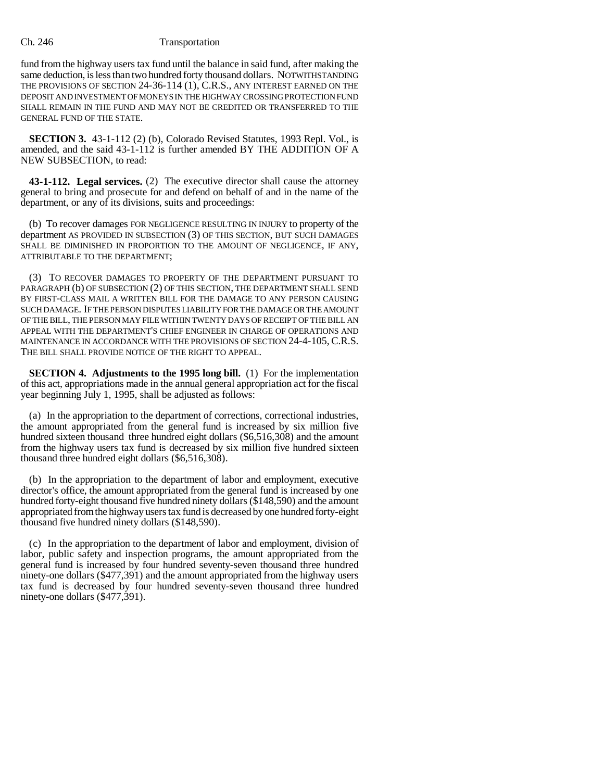#### Ch. 246 Transportation

fund from the highway users tax fund until the balance in said fund, after making the same deduction, is less than two hundred forty thousand dollars. NOTWITHSTANDING THE PROVISIONS OF SECTION 24-36-114 (1), C.R.S., ANY INTEREST EARNED ON THE DEPOSIT AND INVESTMENT OF MONEYS IN THE HIGHWAY CROSSING PROTECTION FUND SHALL REMAIN IN THE FUND AND MAY NOT BE CREDITED OR TRANSFERRED TO THE GENERAL FUND OF THE STATE.

**SECTION 3.** 43-1-112 (2) (b), Colorado Revised Statutes, 1993 Repl. Vol., is amended, and the said 43-1-112 is further amended BY THE ADDITION OF A NEW SUBSECTION, to read:

**43-1-112. Legal services.** (2) The executive director shall cause the attorney general to bring and prosecute for and defend on behalf of and in the name of the department, or any of its divisions, suits and proceedings:

(b) To recover damages FOR NEGLIGENCE RESULTING IN INJURY to property of the department AS PROVIDED IN SUBSECTION (3) OF THIS SECTION, BUT SUCH DAMAGES SHALL BE DIMINISHED IN PROPORTION TO THE AMOUNT OF NEGLIGENCE, IF ANY, ATTRIBUTABLE TO THE DEPARTMENT;

(3) TO RECOVER DAMAGES TO PROPERTY OF THE DEPARTMENT PURSUANT TO PARAGRAPH (b) OF SUBSECTION (2) OF THIS SECTION, THE DEPARTMENT SHALL SEND BY FIRST-CLASS MAIL A WRITTEN BILL FOR THE DAMAGE TO ANY PERSON CAUSING SUCH DAMAGE. IF THE PERSON DISPUTES LIABILITY FOR THE DAMAGE OR THE AMOUNT OF THE BILL, THE PERSON MAY FILE WITHIN TWENTY DAYS OF RECEIPT OF THE BILL AN APPEAL WITH THE DEPARTMENT'S CHIEF ENGINEER IN CHARGE OF OPERATIONS AND MAINTENANCE IN ACCORDANCE WITH THE PROVISIONS OF SECTION 24-4-105, C.R.S. THE BILL SHALL PROVIDE NOTICE OF THE RIGHT TO APPEAL.

**SECTION 4. Adjustments to the 1995 long bill.** (1) For the implementation of this act, appropriations made in the annual general appropriation act for the fiscal year beginning July 1, 1995, shall be adjusted as follows:

(a) In the appropriation to the department of corrections, correctional industries, the amount appropriated from the general fund is increased by six million five hundred sixteen thousand three hundred eight dollars (\$6,516,308) and the amount from the highway users tax fund is decreased by six million five hundred sixteen thousand three hundred eight dollars (\$6,516,308).

(b) In the appropriation to the department of labor and employment, executive director's office, the amount appropriated from the general fund is increased by one hundred forty-eight thousand five hundred ninety dollars (\$148,590) and the amount appropriated from the highway users tax fund is decreased by one hundred forty-eight thousand five hundred ninety dollars (\$148,590).

(c) In the appropriation to the department of labor and employment, division of labor, public safety and inspection programs, the amount appropriated from the general fund is increased by four hundred seventy-seven thousand three hundred ninety-one dollars (\$477,391) and the amount appropriated from the highway users tax fund is decreased by four hundred seventy-seven thousand three hundred ninety-one dollars (\$477,391).